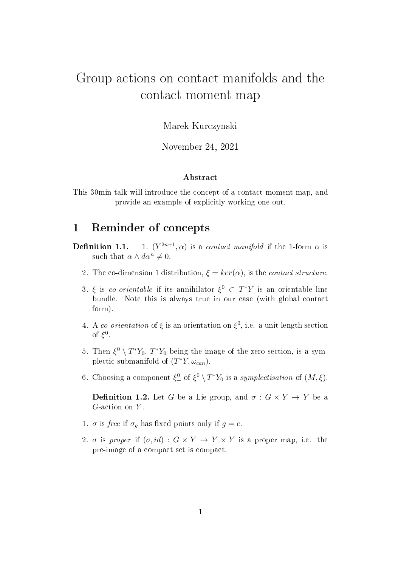# Group actions on contact manifolds and the contact moment map

Marek Kurczynski

November 24, 2021

#### Abstract

This 30min talk will introduce the concept of a contact moment map, and provide an example of explicitly working one out.

### 1 Reminder of concepts

- Definition 1.1. 1.  $(Y^{2n+1}, \alpha)$  is a *contact manifold* if the 1-form  $\alpha$  is such that  $\alpha \wedge d\alpha^n \neq 0$ .
	- 2. The co-dimension 1 distribution,  $\xi = \ker(\alpha)$ , is the *contact structure*.
	- 3. ξ is co-orientable if its annihilator  $\xi^0 \subset T^*Y$  is an orientable line bundle. Note this is always true in our case (with global contact form).
	- 4. A co-orientation of  $\xi$  is an orientation on  $\xi^0$ , i.e. a unit length section of  $\xi^0$ .
	- 5. Then  $\xi^0 \setminus T^*Y_0$ ,  $T^*Y_0$  being the image of the zero section, is a symplectic submanifold of  $(T^*Y, \omega_{can})$ .
	- 6. Choosing a component  $\xi_{+}^{0}$  of  $\xi_{-}^{0} \setminus T^*Y_0$  is a symplectisation of  $(M,\xi)$ .

**Definition 1.2.** Let G be a Lie group, and  $\sigma : G \times Y \to Y$  be a  $G$ -action on  $Y$ .

- 1.  $\sigma$  is free if  $\sigma_g$  has fixed points only if  $g = e$ .
- 2. σ is proper if  $(\sigma, id) : G \times Y \to Y \times Y$  is a proper map, i.e. the pre-image of a compact set is compact.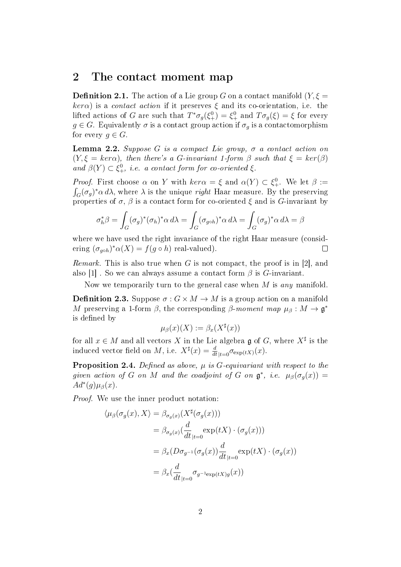### 2 The contact moment map

**Definition 2.1.** The action of a Lie group G on a contact manifold  $(Y, \xi =$  $\ker \alpha$ ) is a *contact action* if it preserves  $\xi$  and its co-orientation, i.e. the lifted actions of G are such that  $T^*\sigma_g(\xi_+^0) = \xi_+^0$  and  $T\sigma_g(\xi) = \xi$  for every  $g \in G$ . Equivalently  $\sigma$  is a contact group action if  $\sigma_q$  is a contactomorphism for every  $g \in G$ .

**Lemma 2.2.** Suppose G is a compact Lie group,  $\sigma$  a contact action on  $(Y, \xi = \text{ker}\alpha)$ , then there's a G-invariant 1-form  $\beta$  such that  $\xi = \text{ker}(\beta)$ and  $\beta(Y) \subset \xi^0_+$ , i.e. a contact form for co-oriented  $\xi$ .

*Proof.* First choose  $\alpha$  on Y with  $\ker \alpha = \xi$  and  $\alpha(Y) \subset \xi_+^0$ . We let  $\beta :=$  $\int_G (\sigma_g)^* \alpha \, d\lambda$ , where  $\lambda$  is the unique *right* Haar measure. By the preserving properties of  $\sigma$ ,  $\beta$  is a contact form for co-oriented  $\xi$  and is G-invariant by

$$
\sigma_h^* \beta = \int_G (\sigma_g)^* (\sigma_h)^* \alpha \, d\lambda = \int_G (\sigma_{g \circ h})^* \alpha \, d\lambda = \int_G (\sigma_g)^* \alpha \, d\lambda = \beta
$$

where we have used the right invariance of the right Haar measure (considering  $(\sigma_{g \circ h})^* \alpha(X) = f(g \circ h)$  real-valued).  $\Box$ 

*Remark.* This is also true when G is not compact, the proof is in [2], and also [1]. So we can always assume a contact form  $\beta$  is G-invariant.

Now we temporarily turn to the general case when M is any manifold.

**Definition 2.3.** Suppose  $\sigma$  :  $G \times M \rightarrow M$  is a group action on a manifold M preserving a 1-form  $\beta$ , the corresponding  $\beta$ -moment map  $\mu_{\beta}: M \to \mathfrak{g}^*$ is defined by

$$
\mu_{\beta}(x)(X) := \beta_x(X^{\sharp}(x))
$$

for all  $x \in M$  and all vectors X in the Lie algebra  $\mathfrak g$  of G, where  $X^{\sharp}$  is the induced vector field on M, i.e.  $X^{\sharp}(x) = \frac{d}{dt}_{|t=0} \sigma_{\exp(tX)}(x)$ .

**Proposition 2.4.** Defined as above,  $\mu$  is G-equivariant with respect to the given action of G on M and the coadjoint of G on  $\mathfrak{g}^*$ , i.e.  $\mu_\beta(\sigma_g(x)) =$  $Ad^*(g)\mu_\beta(x)$ .

Proof. We use the inner product notation:

$$
\langle \mu_{\beta}(\sigma_g(x), X \rangle) = \beta_{\sigma_g(x)}(X^{\sharp}(\sigma_g(x)))
$$
  
\n
$$
= \beta_{\sigma_g(x)}(\frac{d}{dt}_{|t=0} \exp(tX) \cdot (\sigma_g(x)))
$$
  
\n
$$
= \beta_x(D\sigma_{g^{-1}}(\sigma_g(x))\frac{d}{dt}_{|t=0} \exp(tX) \cdot (\sigma_g(x))
$$
  
\n
$$
= \beta_x(\frac{d}{dt}_{|t=0} \sigma_{g^{-1}\exp(tX)g}(x))
$$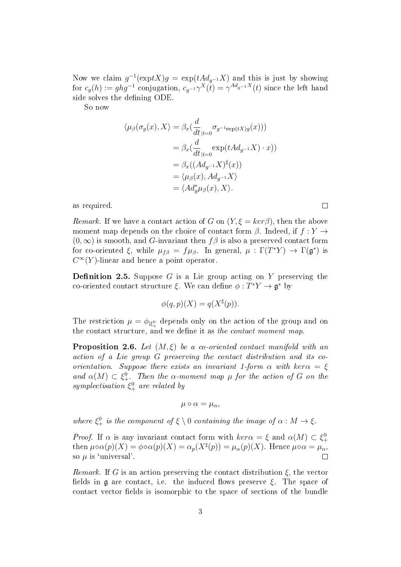Now we claim  $g^{-1}(\exp tX)g = \exp(tA d_{g^{-1}}X)$  and this is just by showing for  $c_g(h) := ghg^{-1}$  conjugation,  $c_{g^{-1}} \gamma^X(\tilde{t}) = \gamma^{Ad_{g^{-1}}}X(t)$  since the left hand side solves the defining ODE.

So now

$$
\langle \mu_{\beta}(\sigma_g(x), X \rangle = \beta_x(\frac{d}{dt}_{|t=0} \sigma_{g^{-1}\exp(tX)g}(x)))
$$
  
=  $\beta_x(\frac{d}{dt}_{|t=0} \exp(tAd_{g^{-1}}X) \cdot x))$   
=  $\beta_x((Ad_{g^{-1}}X)^{\sharp}(x))$   
=  $\langle \mu_{\beta}(x), Ad_{g^{-1}}X \rangle$   
=  $\langle Ad_g^* \mu_{\beta}(x), X \rangle$ .

as required.

*Remark.* If we have a contact action of G on  $(Y, \xi = \text{ker}\beta)$ , then the above moment map depends on the choice of contact form  $\beta$ . Indeed, if  $f: Y \rightarrow$  $(0, \infty)$  is smooth, and G-invariant then f $\beta$  is also a preserved contact form for co-oriented  $\xi$ , while  $\mu_{f\beta} = f\mu_{\beta}$ . In general,  $\mu : \Gamma(T^*Y) \to \Gamma(\mathfrak{g}^*)$  is  $C^{\infty}(Y)$ -linear and hence a point operator.

**Definition 2.5.** Suppose  $G$  is a Lie group acting on  $Y$  preserving the co-oriented contact structure  $\xi$ . We can define  $\phi: T^*Y \to \mathfrak{g}^*$  by

$$
\phi(q, p)(X) = q(X^{\sharp}(p)).
$$

The restriction  $\mu = \phi_{|\xi_+^0}$  depends only on the action of the group and on the contact structure, and we define it as the contact moment map.

**Proposition 2.6.** Let  $(M, \xi)$  be a co-oriented contact manifold with an action of a Lie group G preserving the contact distribution and its coorientation. Suppose there exists an invariant 1-form  $\alpha$  with ker $\alpha = \xi$ and  $\alpha(M) \subset \xi_+^0$ . Then the  $\alpha$ -moment map  $\mu$  for the action of G on the symplectisation  $\xi_{+}^{0}$  are related by

$$
\mu\circ\alpha=\mu_{\alpha},
$$

where  $\xi_+^0$  is the component of  $\xi \setminus 0$  containing the image of  $\alpha : M \to \xi$ .

*Proof.* If  $\alpha$  is any invariant contact form with  $\ker \alpha = \xi$  and  $\alpha(M) \subset \xi^0_+$ then  $\mu \circ \alpha(p)(X) = \phi \circ \alpha(p)(X) = \alpha_p(X^{\sharp}(p)) = \mu_\alpha(p)(X)$ . Hence  $\mu \circ \alpha = \mu_\alpha$ , so  $\mu$  is 'universal'.  $\Box$ 

*Remark.* If G is an action preserving the contact distribution  $\xi$ , the vector fields in g are contact, i.e. the induced flows preserve  $\xi$ . The space of contact vector fields is isomorphic to the space of sections of the bundle

 $\Box$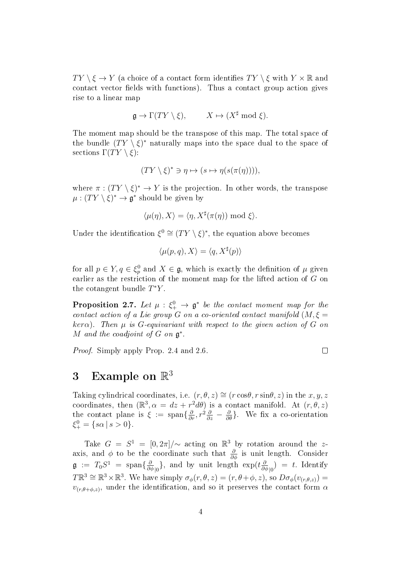$TY \setminus \xi \to Y$  (a choice of a contact form identifies  $TY \setminus \xi$  with  $Y \times \mathbb{R}$  and contact vector fields with functions). Thus a contact group action gives rise to a linear map

$$
\mathfrak{g} \to \Gamma(TY \setminus \xi), \qquad X \mapsto (X^{\sharp} \bmod \xi).
$$

The moment map should be the transpose of this map. The total space of the bundle  $(TY \setminus \xi)^*$  naturally maps into the space dual to the space of sections  $\Gamma(TY \setminus \xi)$ :

$$
(TY \setminus \xi)^* \ni \eta \mapsto (s \mapsto \eta(s(\pi(\eta))))
$$

where  $\pi : (TY \setminus \xi)^* \to Y$  is the projection. In other words, the transpose  $\mu: (TY \setminus \xi)^* \to \mathfrak{g}^*$  should be given by

$$
\langle \mu(\eta), X \rangle = \langle \eta, X^{\sharp}(\pi(\eta)) \text{ mod } \xi \rangle.
$$

Under the identification  $\xi^0 \cong (TY \setminus \xi)^*$ , the equation above becomes

$$
\langle \mu(p,q), X \rangle = \langle q, X^{\sharp}(p) \rangle
$$

for all  $p \in Y, q \in \xi_p^0$  and  $X \in \mathfrak{g}$ , which is exactly the definition of  $\mu$  given earlier as the restriction of the moment map for the lifted action of G on the cotangent bundle  $T^*Y$ .

**Proposition 2.7.** Let  $\mu : \xi_+^0 \to \mathfrak{g}^*$  be the contact moment map for the contact action of a Lie group G on a co-oriented contact manifold  $(M, \xi =$  $\ker \alpha$ ). Then  $\mu$  is G-equivariant with respect to the given action of G on M and the coadjoint of  $G$  on  $\mathfrak{g}^*$ .

Proof. Simply apply Prop. 2.4 and 2.6.

 $\Box$ 

## 3 Example on  $\mathbb{R}^3$

Taking cylindrical coordinates, i.e.  $(r, \theta, z) \cong (r \cos \theta, r \sin \theta, z)$  in the  $x, y, z$ coordinates, then  $(\mathbb{R}^3, \alpha = dz + r^2 d\theta)$  is a contact manifold. At  $(r, \theta, z)$ the contact plane is  $\xi := \text{span}\{\frac{\partial}{\partial r}, r^2\frac{\partial}{\partial z} - \frac{\partial}{\partial \theta}\}\.$  We fix a co-orientation  $\xi_{+}^{0} = \{s\alpha \mid s > 0\}.$ 

Take  $G = S^1 = [0, 2\pi] / \sim \text{acting on } \mathbb{R}^3$  by rotation around the zaxis, and  $\phi$  to be the coordinate such that  $\frac{\partial}{\partial \phi}$  is unit length. Consider  $\mathfrak{g}$  :=  $T_0S^1$  = span $\{\frac{\partial}{\partial \theta}\}$  $\frac{\partial}{\partial \phi_{\parallel 0}}\}$ , and by unit length  $\exp(t\frac{\partial}{\partial \phi_{\parallel 0}})$  $\frac{\partial}{\partial \phi}_{|0}$  = t. Identify  $T\mathbb{R}^3 \cong \mathbb{R}^3 \times \mathbb{R}^3$ . We have simply  $\sigma_{\phi}(r,\theta,z) = (r,\theta+\phi,z)$ , so  $D\sigma_{\phi}(v_{(r,\theta,z)}) =$  $v_{(r,\theta+\phi,z)}$ , under the identification, and so it preserves the contact form  $\alpha$